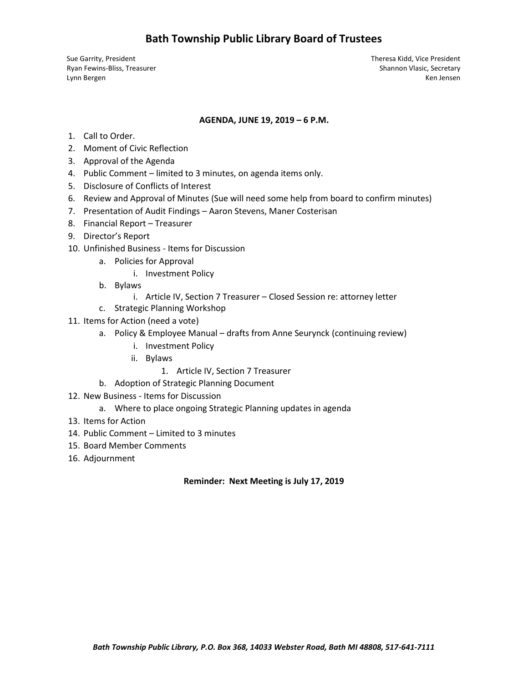# **Bath Township Public Library Board of Trustees**

Sue Garrity, President Theresa Kidd, Vice President Ryan Fewins-Bliss, Treasurer Shannon Vlasic, Secretary (Shannon Vlasic, Secretary Shannon Vlasic, Secretary (Shannon Vlasic, Secretary (Shannon Vlasic, Secretary (Shannon Vlasic, Secretary (Shannon Vlasic, Secretary (Shann Lynn Bergen Ken Jensen Ken Jensen Ken Jensen Ken Jensen Ken Jensen Ken Jensen Ken Jensen Ken Jensen Ken Jensen

#### **AGENDA, JUNE 19, 2019 – 6 P.M.**

- 1. Call to Order.
- 2. Moment of Civic Reflection
- 3. Approval of the Agenda
- 4. Public Comment limited to 3 minutes, on agenda items only.
- 5. Disclosure of Conflicts of Interest
- 6. Review and Approval of Minutes (Sue will need some help from board to confirm minutes)
- 7. Presentation of Audit Findings Aaron Stevens, Maner Costerisan
- 8. Financial Report Treasurer
- 9. Director's Report
- 10. Unfinished Business Items for Discussion
	- a. Policies for Approval
		- i. Investment Policy
	- b. Bylaws
		- i. Article IV, Section 7 Treasurer Closed Session re: attorney letter
	- c. Strategic Planning Workshop
- 11. Items for Action (need a vote)
	- a. Policy & Employee Manual drafts from Anne Seurynck (continuing review)
		- i. Investment Policy
		- ii. Bylaws
			- 1. Article IV, Section 7 Treasurer
	- b. Adoption of Strategic Planning Document
- 12. New Business Items for Discussion
	- a. Where to place ongoing Strategic Planning updates in agenda
- 13. Items for Action
- 14. Public Comment Limited to 3 minutes
- 15. Board Member Comments
- 16. Adjournment

#### **Reminder: Next Meeting is July 17, 2019**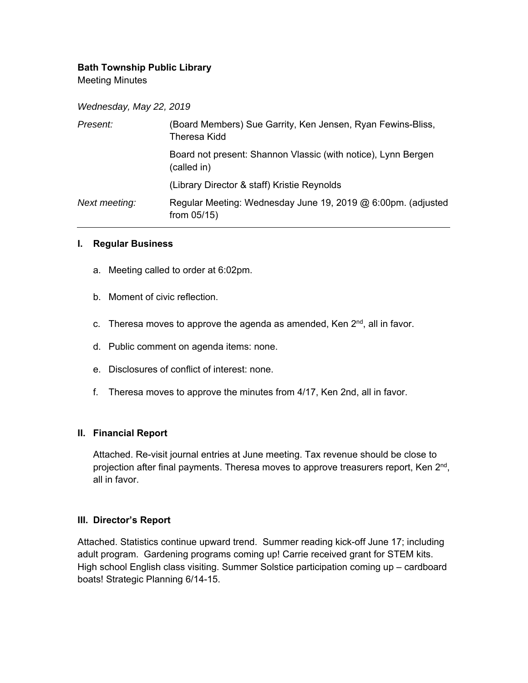## **Bath Township Public Library**

Meeting Minutes

*Wednesday, May 22, 2019* 

| Present:      | (Board Members) Sue Garrity, Ken Jensen, Ryan Fewins-Bliss,<br>Theresa Kidd    |
|---------------|--------------------------------------------------------------------------------|
|               | Board not present: Shannon Vlassic (with notice), Lynn Bergen<br>(called in)   |
|               | (Library Director & staff) Kristie Reynolds                                    |
| Next meeting: | Regular Meeting: Wednesday June 19, 2019 @ 6:00pm. (adjusted<br>from $05/15$ ) |

#### **I. Regular Business**

- a. Meeting called to order at 6:02pm.
- b. Moment of civic reflection.
- c. Theresa moves to approve the agenda as amended, Ken  $2^{nd}$ , all in favor.
- d. Public comment on agenda items: none.
- e. Disclosures of conflict of interest: none.
- f. Theresa moves to approve the minutes from 4/17, Ken 2nd, all in favor.

#### **II. Financial Report**

Attached. Re-visit journal entries at June meeting. Tax revenue should be close to projection after final payments. Theresa moves to approve treasurers report, Ken 2<sup>nd</sup>, all in favor.

#### **III. Director's Report**

Attached. Statistics continue upward trend. Summer reading kick-off June 17; including adult program. Gardening programs coming up! Carrie received grant for STEM kits. High school English class visiting. Summer Solstice participation coming up – cardboard boats! Strategic Planning 6/14-15.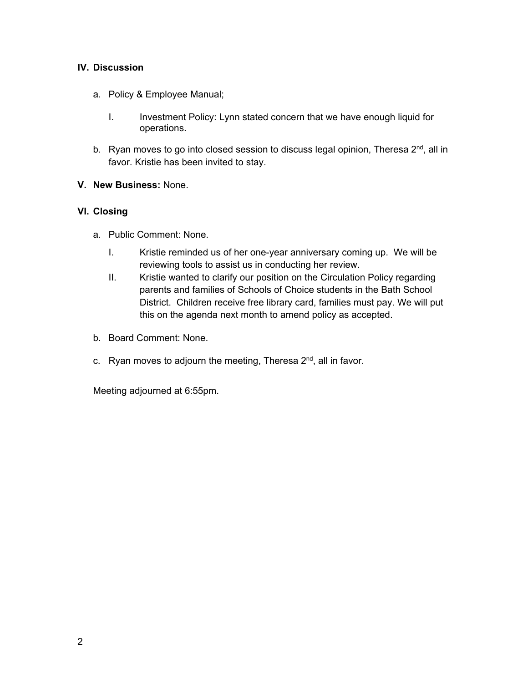### **IV. Discussion**

- a. Policy & Employee Manual;
	- I. Investment Policy: Lynn stated concern that we have enough liquid for operations.
- b. Ryan moves to go into closed session to discuss legal opinion, Theresa 2<sup>nd</sup>, all in favor. Kristie has been invited to stay.

#### **V. New Business:** None.

#### **VI. Closing**

- a. Public Comment: None.
	- I. Kristie reminded us of her one-year anniversary coming up. We will be reviewing tools to assist us in conducting her review.
	- II. Kristie wanted to clarify our position on the Circulation Policy regarding parents and families of Schools of Choice students in the Bath School District. Children receive free library card, families must pay. We will put this on the agenda next month to amend policy as accepted.
- b. Board Comment: None.
- c. Ryan moves to adjourn the meeting, Theresa  $2<sup>nd</sup>$ , all in favor.

Meeting adjourned at 6:55pm.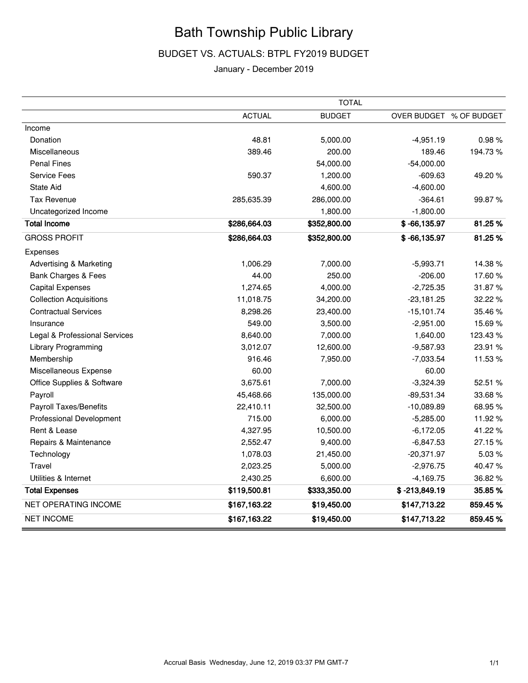# Bath Township Public Library

## BUDGET VS. ACTUALS: BTPL FY2019 BUDGET

#### January - December 2019

|                                    | <b>TOTAL</b>  |               |                         |         |  |  |
|------------------------------------|---------------|---------------|-------------------------|---------|--|--|
|                                    | <b>ACTUAL</b> | <b>BUDGET</b> | OVER BUDGET % OF BUDGET |         |  |  |
| Income                             |               |               |                         |         |  |  |
| Donation                           | 48.81         | 5,000.00      | $-4,951.19$             | 0.98%   |  |  |
| Miscellaneous                      | 389.46        | 200.00        | 189.46                  | 194.73% |  |  |
| <b>Penal Fines</b>                 |               | 54,000.00     | $-54,000.00$            |         |  |  |
| <b>Service Fees</b>                | 590.37        | 1,200.00      | $-609.63$               | 49.20%  |  |  |
| <b>State Aid</b>                   |               | 4,600.00      | $-4,600.00$             |         |  |  |
| <b>Tax Revenue</b>                 | 285,635.39    | 286,000.00    | $-364.61$               | 99.87%  |  |  |
| Uncategorized Income               |               | 1,800.00      | $-1,800.00$             |         |  |  |
| <b>Total Income</b>                | \$286,664.03  | \$352,800.00  | $$ -66,135.97$          | 81.25%  |  |  |
| <b>GROSS PROFIT</b>                | \$286,664.03  | \$352,800.00  | $$ -66, 135.97$         | 81.25%  |  |  |
| Expenses                           |               |               |                         |         |  |  |
| <b>Advertising &amp; Marketing</b> | 1,006.29      | 7,000.00      | $-5,993.71$             | 14.38%  |  |  |
| Bank Charges & Fees                | 44.00         | 250.00        | $-206.00$               | 17.60%  |  |  |
| <b>Capital Expenses</b>            | 1,274.65      | 4,000.00      | $-2,725.35$             | 31.87%  |  |  |
| <b>Collection Acquisitions</b>     | 11,018.75     | 34,200.00     | $-23,181.25$            | 32.22 % |  |  |
| <b>Contractual Services</b>        | 8,298.26      | 23,400.00     | $-15,101.74$            | 35.46%  |  |  |
| Insurance                          | 549.00        | 3,500.00      | $-2,951.00$             | 15.69%  |  |  |
| Legal & Professional Services      | 8,640.00      | 7,000.00      | 1,640.00                | 123.43% |  |  |
| Library Programming                | 3,012.07      | 12,600.00     | $-9,587.93$             | 23.91 % |  |  |
| Membership                         | 916.46        | 7,950.00      | $-7,033.54$             | 11.53%  |  |  |
| Miscellaneous Expense              | 60.00         |               | 60.00                   |         |  |  |
| Office Supplies & Software         | 3,675.61      | 7,000.00      | $-3,324.39$             | 52.51 % |  |  |
| Payroll                            | 45,468.66     | 135,000.00    | $-89,531.34$            | 33.68%  |  |  |
| Payroll Taxes/Benefits             | 22,410.11     | 32,500.00     | $-10,089.89$            | 68.95%  |  |  |
| <b>Professional Development</b>    | 715.00        | 6,000.00      | $-5,285.00$             | 11.92%  |  |  |
| Rent & Lease                       | 4,327.95      | 10,500.00     | $-6,172.05$             | 41.22%  |  |  |
| Repairs & Maintenance              | 2,552.47      | 9,400.00      | $-6,847.53$             | 27.15%  |  |  |
| Technology                         | 1,078.03      | 21,450.00     | $-20,371.97$            | 5.03%   |  |  |
| Travel                             | 2,023.25      | 5,000.00      | $-2,976.75$             | 40.47%  |  |  |
| Utilities & Internet               | 2,430.25      | 6,600.00      | $-4,169.75$             | 36.82%  |  |  |
| <b>Total Expenses</b>              | \$119,500.81  | \$333,350.00  | $$ -213,849.19$         | 35.85%  |  |  |
| NET OPERATING INCOME               | \$167,163.22  | \$19,450.00   | \$147,713.22            | 859.45% |  |  |
| <b>NET INCOME</b>                  | \$167,163.22  | \$19,450.00   | \$147,713.22            | 859.45% |  |  |